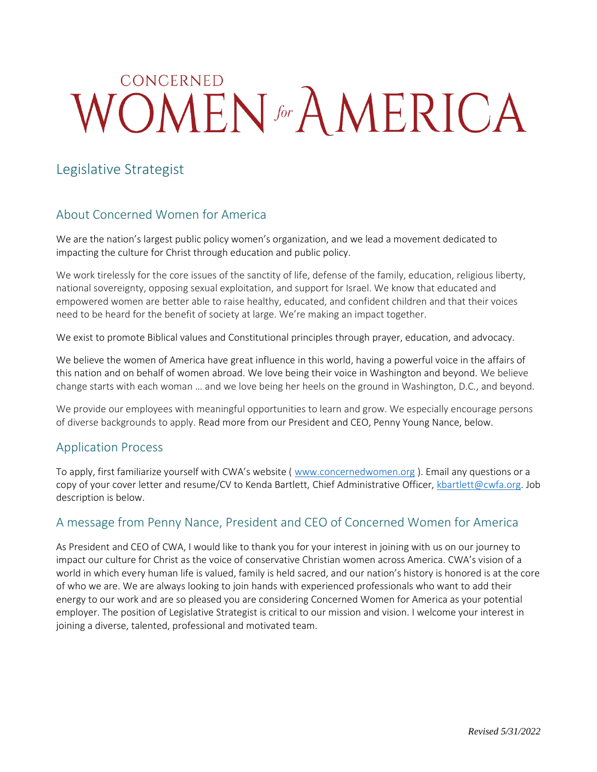# CONCERNED WOMEN for AMERICA

## Legislative Strategist

## About Concerned Women for America

We are the nation's largest public policy women's organization, and we lead a movement dedicated to impacting the culture for Christ through education and public policy.

We work tirelessly for the core issues of the sanctity of life, defense of the family, education, religious liberty, national sovereignty, opposing sexual exploitation, and support for Israel. We know that educated and empowered women are better able to raise healthy, educated, and confident children and that their voices need to be heard for the benefit of society at large. We're making an impact together.

We exist to promote Biblical values and Constitutional principles through prayer, education, and advocacy.

We believe the women of America have great influence in this world, having a powerful voice in the affairs of this nation and on behalf of women abroad. We love being their voice in Washington and beyond. We believe change starts with each woman … and we love being her heels on the ground in Washington, D.C., and beyond.

We provide our employees with meaningful opportunities to learn and grow. We especially encourage persons of diverse backgrounds to apply. Read more from our President and CEO, Penny Young Nance, below.

### Application Process

To apply, first familiarize yourself with CWA's website ([www.concernedwomen.org](http://www.concernedwomen.org/)). Email any questions or a copy of your cover letter and resume/CV to Kenda Bartlett, Chief Administrative Officer, [kbartlett@cwfa.org.](mailto:kbartlett@cwfa.org) Job description is below.

## A message from Penny Nance, President and CEO of Concerned Women for America

As President and CEO of CWA, I would like to thank you for your interest in joining with us on our journey to impact our culture for Christ as the voice of conservative Christian women across America. CWA's vision of a world in which every human life is valued, family is held sacred, and our nation's history is honored is at the core of who we are. We are always looking to join hands with experienced professionals who want to add their energy to our work and are so pleased you are considering Concerned Women for America as your potential employer. The position of Legislative Strategist is critical to our mission and vision. I welcome your interest in joining a diverse, talented, professional and motivated team.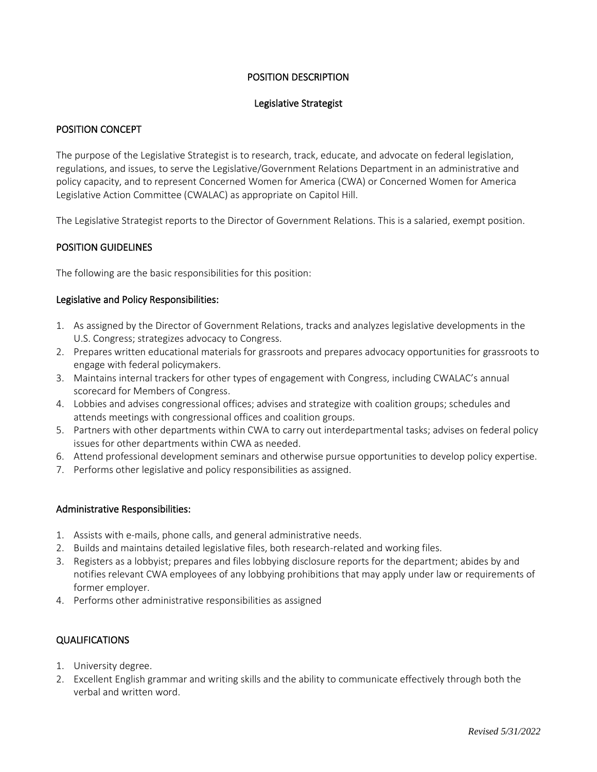#### POSITION DESCRIPTION

#### Legislative Strategist

#### POSITION CONCEPT

The purpose of the Legislative Strategist is to research, track, educate, and advocate on federal legislation, regulations, and issues, to serve the Legislative/Government Relations Department in an administrative and policy capacity, and to represent Concerned Women for America (CWA) or Concerned Women for America Legislative Action Committee (CWALAC) as appropriate on Capitol Hill.

The Legislative Strategist reports to the Director of Government Relations. This is a salaried, exempt position.

#### POSITION GUIDELINES

The following are the basic responsibilities for this position:

#### Legislative and Policy Responsibilities:

- 1. As assigned by the Director of Government Relations, tracks and analyzes legislative developments in the U.S. Congress; strategizes advocacy to Congress.
- 2. Prepares written educational materials for grassroots and prepares advocacy opportunities for grassroots to engage with federal policymakers.
- 3. Maintains internal trackers for other types of engagement with Congress, including CWALAC's annual scorecard for Members of Congress.
- 4. Lobbies and advises congressional offices; advises and strategize with coalition groups; schedules and attends meetings with congressional offices and coalition groups.
- 5. Partners with other departments within CWA to carry out interdepartmental tasks; advises on federal policy issues for other departments within CWA as needed.
- 6. Attend professional development seminars and otherwise pursue opportunities to develop policy expertise.
- 7. Performs other legislative and policy responsibilities as assigned.

#### Administrative Responsibilities:

- 1. Assists with e-mails, phone calls, and general administrative needs.
- 2. Builds and maintains detailed legislative files, both research-related and working files.
- 3. Registers as a lobbyist; prepares and files lobbying disclosure reports for the department; abides by and notifies relevant CWA employees of any lobbying prohibitions that may apply under law or requirements of former employer.
- 4. Performs other administrative responsibilities as assigned

#### QUALIFICATIONS

- 1. University degree.
- 2. Excellent English grammar and writing skills and the ability to communicate effectively through both the verbal and written word.